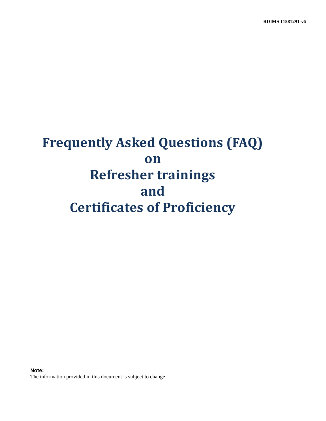# **Frequently Asked Questions (FAQ) on Refresher trainings and Certificates of Proficiency**

**Note:**  The information provided in this document is subject to change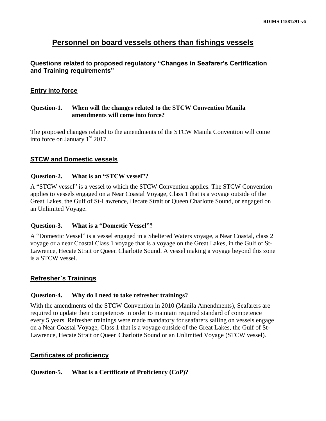# **Personnel on board vessels others than fishings vessels**

## **Questions related to proposed regulatory "Changes in Seafarer's Certification and Training requirements"**

## **Entry into force**

## **Question-1. When will the changes related to the STCW Convention Manila amendments will come into force?**

The proposed changes related to the amendments of the STCW Manila Convention will come into force on January 1<sup>st</sup> 2017.

## **STCW and Domestic vessels**

#### **Question-2. What is an "STCW vessel"?**

A "STCW vessel" is a vessel to which the STCW Convention applies. The STCW Convention applies to vessels engaged on a Near Coastal Voyage, Class 1 that is a voyage outside of the Great Lakes, the Gulf of St-Lawrence, Hecate Strait or Queen Charlotte Sound, or engaged on an Unlimited Voyage.

#### **Question-3. What is a "Domestic Vessel"?**

A "Domestic Vessel" is a vessel engaged in a Sheltered Waters voyage, a Near Coastal, class 2 voyage or a near Coastal Class 1 voyage that is a voyage on the Great Lakes, in the Gulf of St-Lawrence, Hecate Strait or Queen Charlotte Sound. A vessel making a voyage beyond this zone is a STCW vessel.

## **Refresher`s Trainings**

## **Question-4. Why do I need to take refresher trainings?**

With the amendments of the STCW Convention in 2010 (Manila Amendments), Seafarers are required to update their competences in order to maintain required standard of competence every 5 years. Refresher trainings were made mandatory for seafarers sailing on vessels engage on a Near Coastal Voyage, Class 1 that is a voyage outside of the Great Lakes, the Gulf of St-Lawrence, Hecate Strait or Queen Charlotte Sound or an Unlimited Voyage (STCW vessel).

## **Certificates of proficiency**

## **Question-5. What is a Certificate of Proficiency (CoP)?**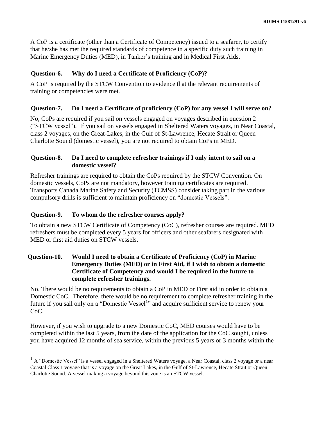A CoP is a certificate (other than a Certificate of Competency) issued to a seafarer, to certify that he/she has met the required standards of competence in a specific duty such training in Marine Emergency Duties (MED), in Tanker's training and in Medical First Aids.

## **Question-6. Why do I need a Certificate of Proficiency (CoP)?**

A CoP is required by the STCW Convention to evidence that the relevant requirements of training or competencies were met.

### **Question-7. Do I need a Certificate of proficiency (CoP) for any vessel I will serve on?**

No, CoPs are required if you sail on vessels engaged on voyages described in question 2 ("STCW vessel"). If you sail on vessels engaged in Sheltered Waters voyages, in Near Coastal, class 2 voyages, on the Great-Lakes, in the Gulf of St-Lawrence, Hecate Strait or Queen Charlotte Sound (domestic vessel), you are not required to obtain CoPs in MED.

## **Question-8. Do I need to complete refresher trainings if I only intent to sail on a domestic vessel?**

Refresher trainings are required to obtain the CoPs required by the STCW Convention. On domestic vessels, CoPs are not mandatory, however training certificates are required. Transports Canada Marine Safety and Security (TCMSS) consider taking part in the various compulsory drills is sufficient to maintain proficiency on "domestic Vessels".

## **Question-9. To whom do the refresher courses apply?**

 $\overline{a}$ 

To obtain a new STCW Certificate of Competency (CoC), refresher courses are required. MED refreshers must be completed every 5 years for officers and other seafarers designated with MED or first aid duties on STCW vessels.

## **Question-10. Would I need to obtain a Certificate of Proficiency (CoP) in Marine Emergency Duties (MED) or in First Aid, if I wish to obtain a domestic Certificate of Competency and would I be required in the future to complete refresher trainings.**

No. There would be no requirements to obtain a CoP in MED or First aid in order to obtain a Domestic CoC. Therefore, there would be no requirement to complete refresher training in the future if you sail only on a "Domestic Vessel<sup>1</sup>" and acquire sufficient service to renew your CoC.

However, if you wish to upgrade to a new Domestic CoC, MED courses would have to be completed within the last 5 years, from the date of the application for the CoC sought, unless you have acquired 12 months of sea service, within the previous 5 years or 3 months within the

<sup>&</sup>lt;sup>1</sup> A "Domestic Vessel" is a vessel engaged in a Sheltered Waters voyage, a Near Coastal, class 2 voyage or a near Coastal Class 1 voyage that is a voyage on the Great Lakes, in the Gulf of St-Lawrence, Hecate Strait or Queen Charlotte Sound. A vessel making a voyage beyond this zone is an STCW vessel.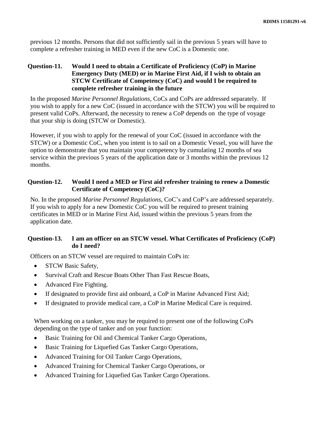previous 12 months. Persons that did not sufficiently sail in the previous 5 years will have to complete a refresher training in MED even if the new CoC is a Domestic one.

## **Question-11. Would I need to obtain a Certificate of Proficiency (CoP) in Marine Emergency Duty (MED) or in Marine First Aid, if I wish to obtain an STCW Certificate of Competency (CoC) and would I be required to complete refresher training in the future**

In the proposed *Marine Personnel Regulations*, CoCs and CoPs are addressed separately. If you wish to apply for a new CoC (issued in accordance with the STCW) you will be required to present valid CoPs. Afterward, the necessity to renew a CoP depends on the type of voyage that your ship is doing (STCW or Domestic).

However, if you wish to apply for the renewal of your CoC (issued in accordance with the STCW) or a Domestic CoC, when you intent is to sail on a Domestic Vessel, you will have the option to demonstrate that you maintain your competency by cumulating 12 months of sea service within the previous 5 years of the application date or 3 months within the previous 12 months.

## **Question-12. Would I need a MED or First aid refresher training to renew a Domestic Certificate of Competency (CoC)?**

No. In the proposed *Marine Personnel Regulations*, CoC's and CoP's are addressed separately. If you wish to apply for a new Domestic CoC you will be required to present training certificates in MED or in Marine First Aid, issued within the previous 5 years from the application date.

## **Question-13. I am an officer on an STCW vessel. What Certificates of Proficiency (CoP) do I need?**

Officers on an STCW vessel are required to maintain CoPs in:

- STCW Basic Safety,
- Survival Craft and Rescue Boats Other Than Fast Rescue Boats,
- Advanced Fire Fighting.
- If designated to provide first aid onboard, a CoP in Marine Advanced First Aid;
- If designated to provide medical care, a CoP in Marine Medical Care is required.

When working on a tanker, you may be required to present one of the following CoPs depending on the type of tanker and on your function:

- Basic Training for Oil and Chemical Tanker Cargo Operations,
- Basic Training for Liquefied Gas Tanker Cargo Operations,
- Advanced Training for Oil Tanker Cargo Operations,
- Advanced Training for Chemical Tanker Cargo Operations, or
- Advanced Training for Liquefied Gas Tanker Cargo Operations.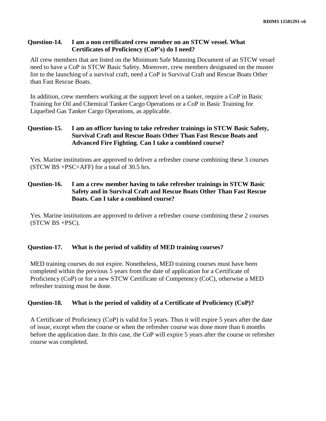#### **Question-14. I am a non certificated crew member on an STCW vessel. What Certificates of Proficiency (CoP's) do I need?**

All crew members that are listed on the Minimum Safe Manning Document of an STCW vessel need to have a CoP in STCW Basic Safety. Moreover, crew members designated on the muster list to the launching of a survival craft, need a CoP in Survival Craft and Rescue Boats Other than Fast Rescue Boats.

In addition, crew members working at the support level on a tanker, require a CoP in Basic Training for Oil and Chemical Tanker Cargo Operations or a CoP in Basic Training for Liquefied Gas Tanker Cargo Operations, as applicable.

### **Question-15. I am an officer having to take refresher trainings in STCW Basic Safety, Survival Craft and Rescue Boats Other Than Fast Rescue Boats and Advanced Fire Fighting. Can I take a combined course?**

Yes. Marine institutions are approved to deliver a refresher course combining these 3 courses (STCW BS +PSC+AFF) for a total of 30.5 hrs.

### **Question-16. I am a crew member having to take refresher trainings in STCW Basic Safety and in Survival Craft and Rescue Boats Other Than Fast Rescue Boats. Can I take a combined course?**

Yes. Marine institutions are approved to deliver a refresher course combining these 2 courses (STCW BS +PSC).

## **Question-17. What is the period of validity of MED training courses?**

MED training courses do not expire. Nonetheless, MED training courses must have been completed within the previous 5 years from the date of application for a Certificate of Proficiency (CoP) or for a new STCW Certificate of Competency (CoC), otherwise a MED refresher training must be done.

## **Question-18. What is the period of validity of a Certificate of Proficiency (CoP)?**

A Certificate of Proficiency (CoP) is valid for 5 years. Thus it will expire 5 years after the date of issue, except when the course or when the refresher course was done more than 6 months before the application date. In this case, the CoP will expire 5 years after the course or refresher course was completed.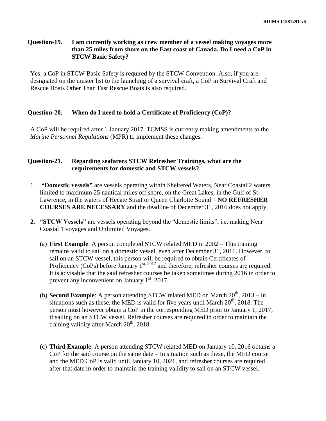#### **Question-19. I am currently working as crew member of a vessel making voyages more than 25 miles from shore on the East coast of Canada. Do I need a CoP in STCW Basic Safety?**

Yes, a CoP in STCW Basic Safety is required by the STCW Convention. Also, if you are designated on the muster list to the launching of a survival craft, a CoP in Survival Craft and Rescue Boats Other Than Fast Rescue Boats is also required.

#### **Question-20. When do I need to hold a Certificate of Proficiency (CoP)?**

A CoP will be required after 1 January 2017. TCMSS is currently making amendments to the *Marine Personnel Regulations* (MPR) to implement these changes.

#### **Question-21. Regarding seafarers STCW Refresher Trainings, what are the requirements for domestic and STCW vessels?**

- 1. **"Domestic vessels"** are vessels operating within Sheltered Waters, Near Coastal 2 waters, limited to maximum 25 nautical miles off shore, on the Great Lakes, in the Gulf of St-Lawrence, in the waters of Hecate Strait or Queen Charlotte Sound – **NO REFRESHER COURSES ARE NECESSARY** and the deadline of December 31, 2016 does not apply.
- **2. "STCW Vessels"** are vessels operating beyond the "domestic limits", i.e. making Near Coastal 1 voyages and Unlimited Voyages.
	- (a) **First Example**: A person completed STCW related MED in 2002 This training remains valid to sail on a domestic vessel, even after December 31, 2016. However, to sail on an STCW vessel, this person will be required to obtain Certificates of Proficiency (CoPs) before January  $1^{st, 2017}$  and therefore, refresher courses are required. It is advisable that the said refresher courses be taken sometimes during 2016 in order to prevent any inconvenient on January  $1<sup>st</sup>$ , 2017.
	- (b) **Second Example**: A person attending STCW related MED on March  $20<sup>th</sup>$ ,  $2013 In$ situations such as these, the MED is valid for five years until March  $20<sup>th</sup>$ , 2018. The person must however obtain a CoP in the corresponding MED prior to January 1, 2017, if sailing on an STCW vessel. Refresher courses are required in order to maintain the training validity after March  $20<sup>th</sup>$ , 2018.
	- (c) **Third Example**: A person attending STCW related MED on January 10, 2016 obtains a CoP for the said course on the same date – In situation such as these, the MED course and the MED CoP is valid until January 10, 2021, and refresher courses are required after that date in order to maintain the training validity to sail on an STCW vessel.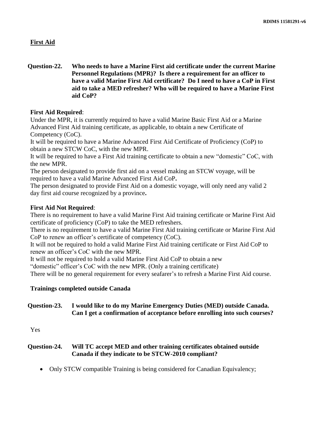#### **First Aid**

**Question-22. Who needs to have a Marine First aid certificate under the current Marine Personnel Regulations (MPR)? Is there a requirement for an officer to have a valid Marine First Aid certificate? Do I need to have a CoP in First aid to take a MED refresher? Who will be required to have a Marine First aid CoP?**

#### **First Aid Required**:

Under the MPR, it is currently required to have a valid Marine Basic First Aid or a Marine Advanced First Aid training certificate, as applicable, to obtain a new Certificate of Competency (CoC).

It will be required to have a Marine Advanced First Aid Certificate of Proficiency (CoP) to obtain a new STCW CoC, with the new MPR.

It will be required to have a First Aid training certificate to obtain a new "domestic" CoC, with the new MPR.

The person designated to provide first aid on a vessel making an STCW voyage, will be required to have a valid Marine Advanced First Aid CoP**.**

The person designated to provide First Aid on a domestic voyage, will only need any valid 2 day first aid course recognized by a province**.**

#### **First Aid Not Required**:

There is no requirement to have a valid Marine First Aid training certificate or Marine First Aid certificate of proficiency (CoP) to take the MED refreshers.

There is no requirement to have a valid Marine First Aid training certificate or Marine First Aid CoP to renew an officer's certificate of competency (CoC).

It will not be required to hold a valid Marine First Aid training certificate or First Aid CoP to renew an officer's CoC with the new MPR.

It will not be required to hold a valid Marine First Aid CoP to obtain a new

"domestic" officer's CoC with the new MPR. (Only a training certificate)

There will be no general requirement for every seafarer's to refresh a Marine First Aid course.

## **Trainings completed outside Canada**

### **Question-23. I would like to do my Marine Emergency Duties (MED) outside Canada. Can I get a confirmation of acceptance before enrolling into such courses?**

Yes

## **Question-24. Will TC accept MED and other training certificates obtained outside Canada if they indicate to be STCW-2010 compliant?**

• Only STCW compatible Training is being considered for Canadian Equivalency;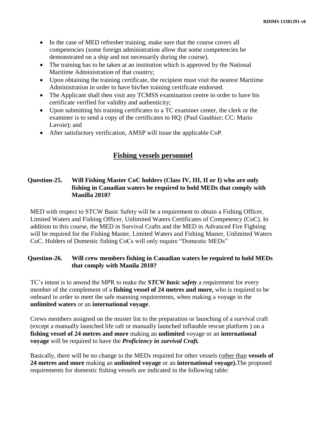- In the case of MED refresher training, make sure that the course covers all competencies (some foreign administration allow that some competencies be demonstrated on a ship and not necessarily during the course).
- The training has to be taken at an institution which is approved by the National Maritime Administration of that country;
- Upon obtaining the training certificate, the recipient must visit the nearest Maritime Administration in order to have his/her training certificate endorsed.
- The Applicant shall then visit any TCMSS examination centre in order to have his certificate verified for validity and authenticity;
- Upon submitting his training certificates to a TC examiner center, the clerk or the examiner is to send a copy of the certificates to HQ: (Paul Gauthier; CC: Mario Lavoie); and
- After satisfactory verification, AMSP will issue the applicable CoP.

# **Fishing vessels personnel**

#### **Question-25. Will Fishing Master CoC holders (Class IV, III, II or I) who are only fishing in Canadian waters be required to hold MEDs that comply with Manilla 2010?**

MED with respect to STCW Basic Safety will be a requirement to obtain a Fishing Officer, Limited Waters and Fishing Officer, Unlimited Waters Certificates of Competency (CoC). In addition to this course, the MED in Survival Crafts and the MED in Advanced Fire Fighting will be required for the Fishing Master, Limited Waters and Fishing Master, Unlimited Waters CoC. Holders of Domestic fishing CoCs will only require "Domestic MEDs"

#### **Question-26. Will crew members fishing in Canadian waters be required to hold MEDs that comply with Manila 2010?**

TC's intent is to amend the MPR to make the *STCW basic safety* a requirement for every member of the complement of a **fishing vessel of 24 metres and more,** who is required to be onboard in order to meet the safe manning requirements, when making a voyage in the **unlimited waters** or an **international voyage**.

Crews members assigned on the muster list to the preparation or launching of a survival craft (except a manually launched life raft or manually launched inflatable rescue platform ) on a **fishing vessel of 24 metres and more** making an **unlimited** voyage or an **international voyage** will be required to have the *Proficiency in survival Craft.*

Basically, there will be no change to the MEDs required for other vessels (other than **vessels of 24 metres and more** making an **unlimited voyage** or an **international voyage).**The proposed requirements for domestic fishing vessels are indicated in the following table: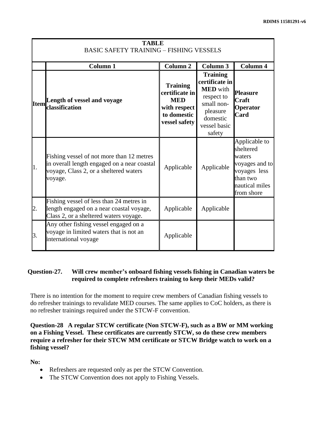| <b>TABLE</b><br><b>BASIC SAFETY TRAINING - FISHING VESSELS</b> |                                                                                                                                               |                                                                                                 |                                                                                                                                    |                                                                                                                    |
|----------------------------------------------------------------|-----------------------------------------------------------------------------------------------------------------------------------------------|-------------------------------------------------------------------------------------------------|------------------------------------------------------------------------------------------------------------------------------------|--------------------------------------------------------------------------------------------------------------------|
|                                                                | <b>Column 1</b>                                                                                                                               | Column 2                                                                                        | Column 3                                                                                                                           | <b>Column 4</b>                                                                                                    |
| <b>Item</b>                                                    | Length of vessel and voyage<br>classification                                                                                                 | <b>Training</b><br>certificate in<br><b>MED</b><br>with respect<br>to domestic<br>vessel safety | <b>Training</b><br>certificate in<br><b>MED</b> with<br>respect to<br>small non-<br>pleasure<br>domestic<br>vessel basic<br>safety | <b>Pleasure</b><br><b>Craft</b><br>Operator<br>Card                                                                |
| 1.                                                             | Fishing vessel of not more than 12 metres<br>in overall length engaged on a near coastal<br>voyage, Class 2, or a sheltered waters<br>voyage. | Applicable                                                                                      | Applicable                                                                                                                         | Applicable to<br>sheltered<br>waters<br>voyages and to<br>voyages less<br>than two<br>nautical miles<br>from shore |
| 2.                                                             | Fishing vessel of less than 24 metres in<br>length engaged on a near coastal voyage,<br>Class 2, or a sheltered waters voyage.                | Applicable                                                                                      | Applicable                                                                                                                         |                                                                                                                    |
| 3.                                                             | Any other fishing vessel engaged on a<br>voyage in limited waters that is not an<br>international voyage                                      | Applicable                                                                                      |                                                                                                                                    |                                                                                                                    |

### **Question-27. Will crew member's onboard fishing vessels fishing in Canadian waters be required to complete refreshers training to keep their MEDs valid?**

There is no intention for the moment to require crew members of Canadian fishing vessels to do refresher trainings to revalidate MED courses. The same applies to CoC holders, as there is no refresher trainings required under the STCW-F convention.

**Question-28 A regular STCW certificate (Non STCW-F), such as a BW or MM working on a Fishing Vessel. These certificates are currently STCW, so do these crew members require a refresher for their STCW MM certificate or STCW Bridge watch to work on a fishing vessel?**

**No:**

- Refreshers are requested only as per the STCW Convention.
- The STCW Convention does not apply to Fishing Vessels.